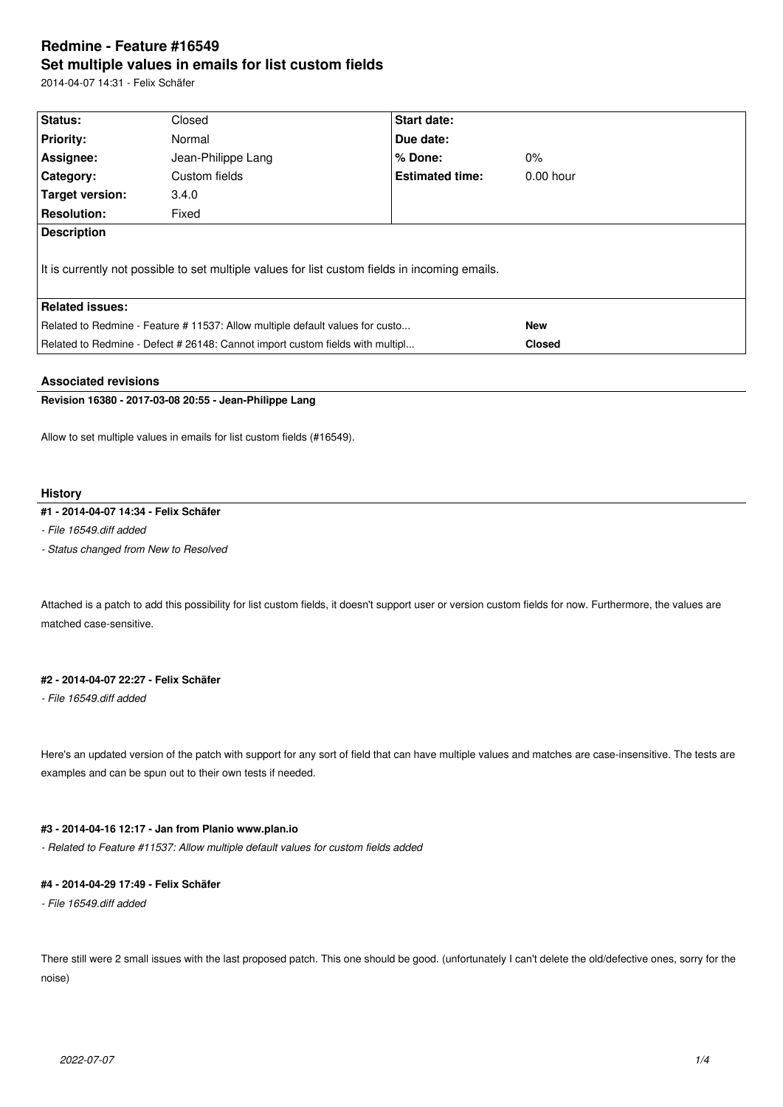# **Redmine - Feature #16549 Set multiple values in emails for list custom fields**

2014-04-07 14:31 - Felix Schäfer

| Status:                                                                                        | Closed             | <b>Start date:</b>     |               |  |  |
|------------------------------------------------------------------------------------------------|--------------------|------------------------|---------------|--|--|
| <b>Priority:</b>                                                                               | Normal             | Due date:              |               |  |  |
| Assignee:                                                                                      | Jean-Philippe Lang | $%$ Done:              | $0\%$         |  |  |
| Category:                                                                                      | Custom fields      | <b>Estimated time:</b> | $0.00$ hour   |  |  |
| Target version:                                                                                | 3.4.0              |                        |               |  |  |
| <b>Resolution:</b>                                                                             | Fixed              |                        |               |  |  |
| <b>Description</b>                                                                             |                    |                        |               |  |  |
| It is currently not possible to set multiple values for list custom fields in incoming emails. |                    |                        |               |  |  |
| <b>Related issues:</b>                                                                         |                    |                        |               |  |  |
| Related to Redmine - Feature # 11537: Allow multiple default values for custo                  |                    |                        | <b>New</b>    |  |  |
| Related to Redmine - Defect # 26148: Cannot import custom fields with multipl                  |                    |                        | <b>Closed</b> |  |  |
|                                                                                                |                    |                        |               |  |  |

## **Associated revisions**

**Revision 16380 - 2017-03-08 20:55 - Jean-Philippe Lang**

Allow to set multiple values in emails for list custom fields (#16549).

#### **History**

## **#1 - 2014-04-07 14:34 - Felix Schäfer**

*- File 16549.diff added*

*- Status changed from New to Resolved*

Attached is a patch to add this possibility for list custom fields, it doesn't support user or version custom fields for now. Furthermore, the values are matched case-sensitive.

### **#2 - 2014-04-07 22:27 - Felix Schäfer**

*- File 16549.diff added*

Here's an updated version of the patch with support for any sort of field that can have multiple values and matches are case-insensitive. The tests are examples and can be spun out to their own tests if needed.

## **#3 - 2014-04-16 12:17 - Jan from Planio www.plan.io**

*- Related to Feature #11537: Allow multiple default values for custom fields added*

## **#4 - 2014-04-29 17:49 - Felix Schäfer**

*- File 16549.diff added*

There still were 2 small issues with the last proposed patch. This one should be good. (unfortunately I can't delete the old/defective ones, sorry for the noise)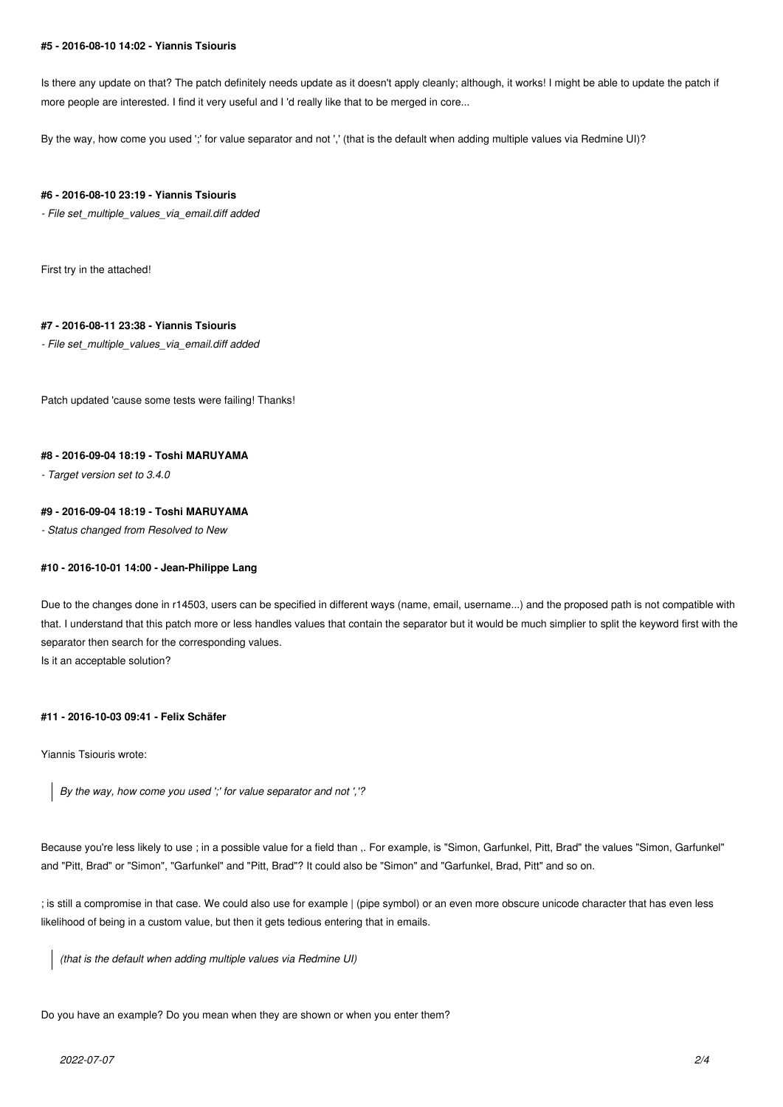#### **#5 - 2016-08-10 14:02 - Yiannis Tsiouris**

Is there any update on that? The patch definitely needs update as it doesn't apply cleanly; although, it works! I might be able to update the patch if more people are interested. I find it very useful and I 'd really like that to be merged in core...

By the way, how come you used ';' for value separator and not ',' (that is the default when adding multiple values via Redmine UI)?

#### **#6 - 2016-08-10 23:19 - Yiannis Tsiouris**

*- File set\_multiple\_values\_via\_email.diff added*

First try in the attached!

## **#7 - 2016-08-11 23:38 - Yiannis Tsiouris**

*- File set\_multiple\_values\_via\_email.diff added*

Patch updated 'cause some tests were failing! Thanks!

## **#8 - 2016-09-04 18:19 - Toshi MARUYAMA**

*- Target version set to 3.4.0*

### **#9 - 2016-09-04 18:19 - Toshi MARUYAMA**

*- Status changed from Resolved to New*

## **#10 - 2016-10-01 14:00 - Jean-Philippe Lang**

Due to the changes done in r14503, users can be specified in different ways (name, email, username...) and the proposed path is not compatible with that. I understand that this patch more or less handles values that contain the separator but it would be much simplier to split the keyword first with the separator then search for the corresponding values. Is it an acceptable solution?

#### **#11 - 2016-10-03 09:41 - Felix Schäfer**

Yiannis Tsiouris wrote:

*By the way, how come you used ';' for value separator and not ','?*

Because you're less likely to use ; in a possible value for a field than ,. For example, is "Simon, Garfunkel, Pitt, Brad" the values "Simon, Garfunkel" and "Pitt, Brad" or "Simon", "Garfunkel" and "Pitt, Brad"? It could also be "Simon" and "Garfunkel, Brad, Pitt" and so on.

; is still a compromise in that case. We could also use for example | (pipe symbol) or an even more obscure unicode character that has even less likelihood of being in a custom value, but then it gets tedious entering that in emails.

*(that is the default when adding multiple values via Redmine UI)*

Do you have an example? Do you mean when they are shown or when you enter them?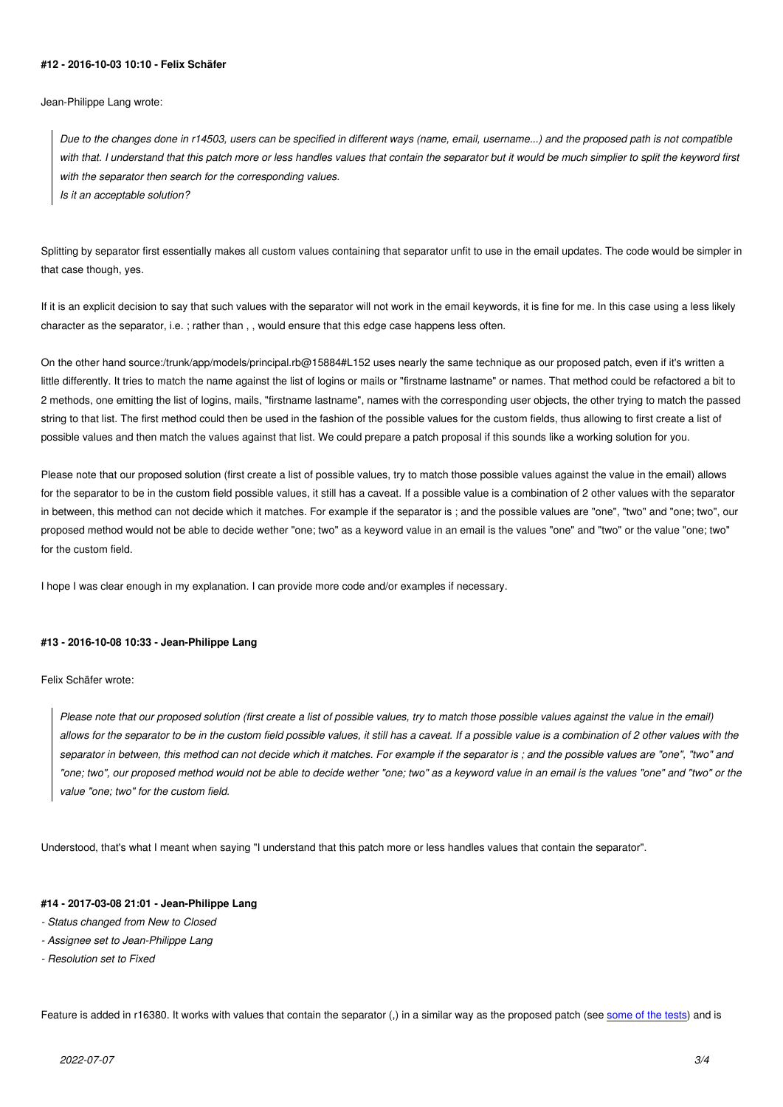#### **#12 - 2016-10-03 10:10 - Felix Schäfer**

Jean-Philippe Lang wrote:

*Due to the changes done in r14503, users can be specified in different ways (name, email, username...) and the proposed path is not compatible with that. I understand that this patch more or less handles values that contain the separator but it would be much simplier to split the keyword first with the separator then search for the corresponding values. Is it an acceptable solution?*

Splitting by separator first essentially makes all custom values containing that separator unfit to use in the email updates. The code would be simpler in that case though, yes.

If it is an explicit decision to say that such values with the separator will not work in the email keywords, it is fine for me. In this case using a less likely character as the separator, i.e. ; rather than , , would ensure that this edge case happens less often.

On the other hand source:/trunk/app/models/principal.rb@15884#L152 uses nearly the same technique as our proposed patch, even if it's written a little differently. It tries to match the name against the list of logins or mails or "firstname lastname" or names. That method could be refactored a bit to 2 methods, one emitting the list of logins, mails, "firstname lastname", names with the corresponding user objects, the other trying to match the passed string to that list. The first method could then be used in the fashion of the possible values for the custom fields, thus allowing to first create a list of possible values and then match the values against that list. We could prepare a patch proposal if this sounds like a working solution for you.

Please note that our proposed solution (first create a list of possible values, try to match those possible values against the value in the email) allows for the separator to be in the custom field possible values, it still has a caveat. If a possible value is a combination of 2 other values with the separator in between, this method can not decide which it matches. For example if the separator is ; and the possible values are "one", "two" and "one; two", our proposed method would not be able to decide wether "one; two" as a keyword value in an email is the values "one" and "two" or the value "one; two" for the custom field.

I hope I was clear enough in my explanation. I can provide more code and/or examples if necessary.

#### **#13 - 2016-10-08 10:33 - Jean-Philippe Lang**

Felix Schäfer wrote:

*Please note that our proposed solution (first create a list of possible values, try to match those possible values against the value in the email) allows for the separator to be in the custom field possible values, it still has a caveat. If a possible value is a combination of 2 other values with the separator in between, this method can not decide which it matches. For example if the separator is ; and the possible values are "one", "two" and "one; two", our proposed method would not be able to decide wether "one; two" as a keyword value in an email is the values "one" and "two" or the value "one; two" for the custom field.*

Understood, that's what I meant when saying "I understand that this patch more or less handles values that contain the separator".

#### **#14 - 2017-03-08 21:01 - Jean-Philippe Lang**

- *Status changed from New to Closed*
- *Assignee set to Jean-Philippe Lang*
- *Resolution set to Fixed*

Feature is added in r16380. It works with values that contain the separator (,) in a similar way as the proposed patch (see some of the tests) and is